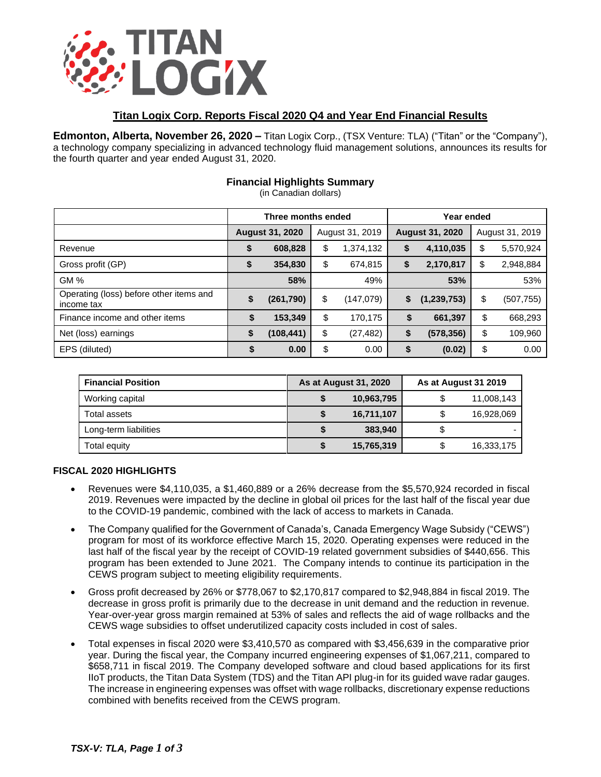

## **Titan Logix Corp. Reports Fiscal 2020 Q4 and Year End Financial Results**

**Edmonton, Alberta, November 26, 2020 –** Titan Logix Corp., (TSX Venture: TLA) ("Titan" or the "Company"), a technology company specializing in advanced technology fluid management solutions, announces its results for the fourth quarter and year ended August 31, 2020.

# **Financial Highlights Summary**

(in Canadian dollars)

|                                                       | Three months ended     |            |                 | Year ended |                        |             |                 |            |
|-------------------------------------------------------|------------------------|------------|-----------------|------------|------------------------|-------------|-----------------|------------|
|                                                       | <b>August 31, 2020</b> |            | August 31, 2019 |            | <b>August 31, 2020</b> |             | August 31, 2019 |            |
| Revenue                                               | \$                     | 608,828    | \$              | 1,374,132  | \$                     | 4,110,035   | \$              | 5,570,924  |
| Gross profit (GP)                                     | \$                     | 354,830    | \$              | 674,815    | \$                     | 2,170,817   | \$              | 2,948,884  |
| <b>GM%</b>                                            |                        | 58%        |                 | 49%        |                        | 53%         |                 | 53%        |
| Operating (loss) before other items and<br>income tax | \$                     | (261, 790) | \$              | (147,079)  | \$                     | (1,239,753) | \$              | (507, 755) |
| Finance income and other items                        | \$                     | 153,349    | \$              | 170,175    | \$                     | 661,397     | \$              | 668,293    |
| Net (loss) earnings                                   | \$                     | (108,441)  | \$              | (27, 482)  | \$                     | (578, 356)  | \$              | 109,960    |
| EPS (diluted)                                         | \$                     | 0.00       | \$              | 0.00       | \$                     | (0.02)      | \$              | 0.00       |

| <b>Financial Position</b> | As at August 31, 2020 | As at August 31 2019 |            |  |
|---------------------------|-----------------------|----------------------|------------|--|
| Working capital           | 10,963,795            |                      | 11,008,143 |  |
| Total assets              | 16,711,107            |                      | 16,928,069 |  |
| Long-term liabilities     | 383.940               |                      |            |  |
| Total equity              | 15,765,319            |                      | 16,333,175 |  |

### **FISCAL 2020 HIGHLIGHTS**

- Revenues were \$4,110,035, a \$1,460,889 or a 26% decrease from the \$5,570,924 recorded in fiscal 2019. Revenues were impacted by the decline in global oil prices for the last half of the fiscal year due to the COVID-19 pandemic, combined with the lack of access to markets in Canada.
- The Company qualified for the Government of Canada's, Canada Emergency Wage Subsidy ("CEWS") program for most of its workforce effective March 15, 2020. Operating expenses were reduced in the last half of the fiscal year by the receipt of COVID-19 related government subsidies of \$440,656. This program has been extended to June 2021. The Company intends to continue its participation in the CEWS program subject to meeting eligibility requirements.
- Gross profit decreased by 26% or \$778,067 to \$2,170,817 compared to \$2,948,884 in fiscal 2019. The decrease in gross profit is primarily due to the decrease in unit demand and the reduction in revenue. Year-over-year gross margin remained at 53% of sales and reflects the aid of wage rollbacks and the CEWS wage subsidies to offset underutilized capacity costs included in cost of sales.
- Total expenses in fiscal 2020 were \$3,410,570 as compared with \$3,456,639 in the comparative prior year. During the fiscal year, the Company incurred engineering expenses of \$1,067,211, compared to \$658,711 in fiscal 2019. The Company developed software and cloud based applications for its first IIoT products, the Titan Data System (TDS) and the Titan API plug-in for its guided wave radar gauges. The increase in engineering expenses was offset with wage rollbacks, discretionary expense reductions combined with benefits received from the CEWS program.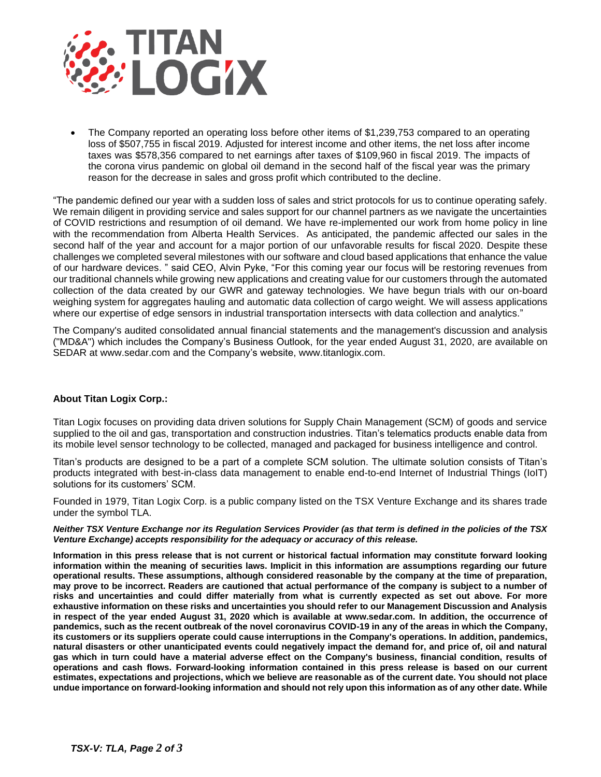

• The Company reported an operating loss before other items of \$1,239,753 compared to an operating loss of \$507,755 in fiscal 2019. Adjusted for interest income and other items, the net loss after income taxes was \$578,356 compared to net earnings after taxes of \$109,960 in fiscal 2019. The impacts of the corona virus pandemic on global oil demand in the second half of the fiscal year was the primary reason for the decrease in sales and gross profit which contributed to the decline.

"The pandemic defined our year with a sudden loss of sales and strict protocols for us to continue operating safely. We remain diligent in providing service and sales support for our channel partners as we navigate the uncertainties of COVID restrictions and resumption of oil demand. We have re-implemented our work from home policy in line with the recommendation from Alberta Health Services. As anticipated, the pandemic affected our sales in the second half of the year and account for a major portion of our unfavorable results for fiscal 2020. Despite these challenges we completed several milestones with our software and cloud based applications that enhance the value of our hardware devices. " said CEO, Alvin Pyke, "For this coming year our focus will be restoring revenues from our traditional channels while growing new applications and creating value for our customers through the automated collection of the data created by our GWR and gateway technologies. We have begun trials with our on-board weighing system for aggregates hauling and automatic data collection of cargo weight. We will assess applications where our expertise of edge sensors in industrial transportation intersects with data collection and analytics."

The Company's audited consolidated annual financial statements and the management's discussion and analysis ("MD&A") which includes the Company's Business Outlook, for the year ended August 31, 2020, are available on SEDAR at [www.sedar.com](http://www.sedar.com/) and the Company's website, [www.titanlogix.com.](http://www.titanlogix.com/)

### **About Titan Logix Corp.:**

Titan Logix focuses on providing data driven solutions for Supply Chain Management (SCM) of goods and service supplied to the oil and gas, transportation and construction industries. Titan's telematics products enable data from its mobile level sensor technology to be collected, managed and packaged for business intelligence and control.

Titan's products are designed to be a part of a complete SCM solution. The ultimate solution consists of Titan's products integrated with best-in-class data management to enable end-to-end Internet of Industrial Things (IoIT) solutions for its customers' SCM.

Founded in 1979, Titan Logix Corp. is a public company listed on the TSX Venture Exchange and its shares trade under the symbol TLA.

#### *Neither TSX Venture Exchange nor its Regulation Services Provider (as that term is defined in the policies of the TSX Venture Exchange) accepts responsibility for the adequacy or accuracy of this release.*

**Information in this press release that is not current or historical factual information may constitute forward looking information within the meaning of securities laws. Implicit in this information are assumptions regarding our future operational results. These assumptions, although considered reasonable by the company at the time of preparation, may prove to be incorrect. Readers are cautioned that actual performance of the company is subject to a number of risks and uncertainties and could differ materially from what is currently expected as set out above. For more exhaustive information on these risks and uncertainties you should refer to our Management Discussion and Analysis in respect of the year ended August 31, 2020 which is available at www.sedar.com. In addition, the occurrence of pandemics, such as the recent outbreak of the novel coronavirus COVID-19 in any of the areas in which the Company, its customers or its suppliers operate could cause interruptions in the Company's operations. In addition, pandemics, natural disasters or other unanticipated events could negatively impact the demand for, and price of, oil and natural gas which in turn could have a material adverse effect on the Company's business, financial condition, results of operations and cash flows. Forward-looking information contained in this press release is based on our current estimates, expectations and projections, which we believe are reasonable as of the current date. You should not place undue importance on forward-looking information and should not rely upon this information as of any other date. While**